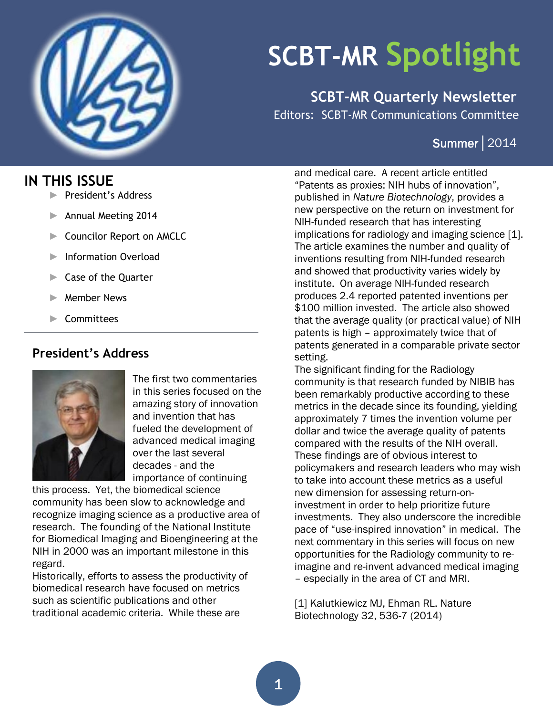

# **SCBT-MR Spotlight**

Editors: SCBT-MR Communications Committee **SCBT-MR Quarterly Newsletter**

# time-tested, they have limited value in assessing Summer│2014

## <span id="page-0-2"></span>**IN THIS ISSUE**

- ► [President's](#page-0-0) Address
- ► [Annual Meeting 2014](#page-0-1)
- ► Councilor Report on AMCLC
- ► Information Overload
- [Case of the Quarter](#page-5-0)
- [Member](#page-5-0) News
- ► [Committees](#page-7-0)

## <span id="page-0-0"></span>**President's Address**



<span id="page-0-1"></span>The first two commentaries in this series focused on the amazing story of innovation and invention that has fueled the development of advanced medical imaging over the last several decades - and the importance of continuing

this process. Yet, the biomedical science community has been slow to acknowledge and recognize imaging science as a productive area of research. The founding of the National Institute for Biomedical Imaging and Bioengineering at the NIH in 2000 was an important milestone in this regard.

Historically, efforts to assess the productivity of biomedical research have focused on metrics such as scientific publications and other traditional academic criteria. While these are

and medical care. A recent article entitled "Patents as proxies: NIH hubs of innovation", published in *Nature Biotechnology*, provides a new perspective on the return on investment for NIH-funded research that has interesting implications for radiology and imaging science [1]. The article examines the number and quality of inventions resulting from NIH-funded research and showed that productivity varies widely by institute. On average NIH-funded research produces 2.4 reported patented inventions per \$100 million invested. The article also showed that the average quality (or practical value) of NIH patents is high – approximately twice that of patents generated in a comparable private sector setting.

The significant finding for the Radiology community is that research funded by NIBIB has been remarkably productive according to these metrics in the decade since its founding, yielding approximately 7 times the invention volume per dollar and twice the average quality of patents compared with the results of the NIH overall. These findings are of obvious interest to policymakers and research leaders who may wish to take into account these metrics as a useful new dimension for assessing return-oninvestment in order to help prioritize future investments. They also underscore the incredible pace of "use-inspired innovation" in medical. The next commentary in this series will focus on new opportunities for the Radiology community to reimagine and re-invent advanced medical imaging – especially in the area of CT and MRI.

[1] Kalutkiewicz MJ, Ehman RL. Nature Biotechnology 32, 536-7 (2014)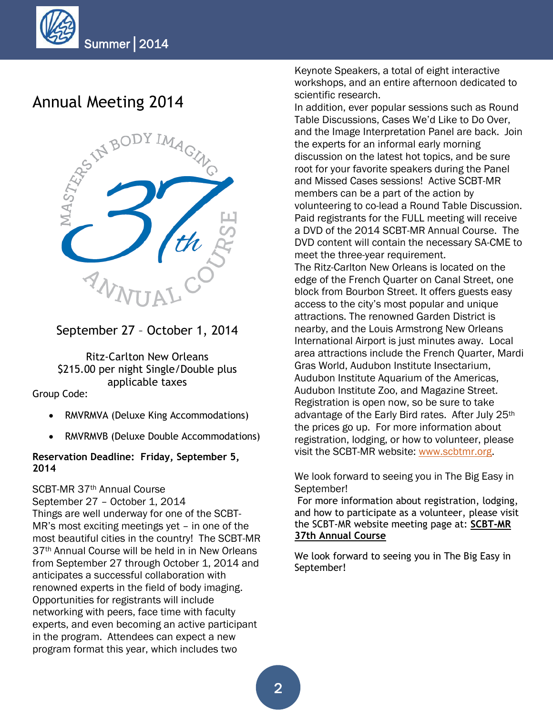

# Annual Meeting 2014



## September 27 – October 1, 2014

Ritz-Carlton New Orleans \$215.00 per night Single/Double plus applicable taxes

Group Code:

- RMVRMVA (Deluxe King Accommodations)
- RMVRMVB (Deluxe Double Accommodations)

## **Reservation Deadline: Friday, September 5, 2014**

SCBT-MR 37th Annual Course

September 27 – October 1, 2014 Things are well underway for one of the SCBT-MR's most exciting meetings yet – in one of the most beautiful cities in the country! The SCBT-MR 37th Annual Course will be held in in New Orleans from September 27 through October 1, 2014 and anticipates a successful collaboration with renowned experts in the field of body imaging. Opportunities for registrants will include networking with peers, face time with faculty experts, and even becoming an active participant in the program. Attendees can expect a new program format this year, which includes two

Keynote Speakers, a total of eight interactive workshops, and an entire afternoon dedicated to scientific research.

In addition, ever popular sessions such as Round Table Discussions, Cases We'd Like to Do Over, and the Image Interpretation Panel are back. Join the experts for an informal early morning discussion on the latest hot topics, and be sure root for your favorite speakers during the Panel and Missed Cases sessions! Active SCBT-MR members can be a part of the action by volunteering to co-lead a Round Table Discussion. Paid registrants for the FULL meeting will receive a DVD of the 2014 SCBT-MR Annual Course. The DVD content will contain the necessary SA-CME to meet the three-year requirement.

The Ritz-Carlton New Orleans is located on the edge of the French Quarter on Canal Street, one block from Bourbon Street. It offers guests easy access to the city's most popular and unique attractions. The renowned Garden District is nearby, and the Louis Armstrong New Orleans International Airport is just minutes away. Local area attractions include the French Quarter, Mardi Gras World, Audubon Institute Insectarium, Audubon Institute Aquarium of the Americas, Audubon Institute Zoo, and Magazine Street. Registration is open now, so be sure to take advantage of the Early Bird rates. After July 25th the prices go up. For more information about registration, lodging, or how to volunteer, please visit the SCBT-MR website: [www.scbtmr.org.](http://www.scbtmr.org/)

We look forward to seeing you in The Big Easy in September!

For more information about registration, lodging, and how to participate as a volunteer, please visit the SCBT-MR website meeting page at: **[SCBT-MR](http://www.scbtmr.org/Meetings/2014AnnualMeeting.aspx)  [37th Annual Course](http://www.scbtmr.org/Meetings/2014AnnualMeeting.aspx)**

We look forward to seeing you in The Big Easy in September!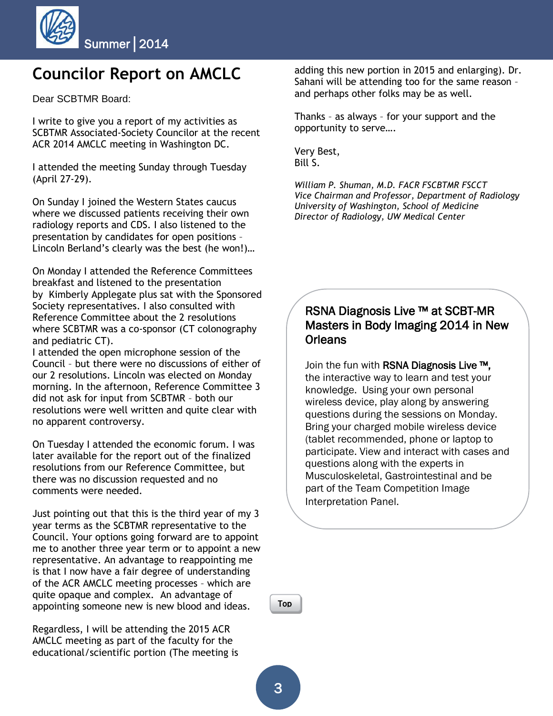

# **Councilor Report on AMCLC**

Dear SCBTMR Board:

I write to give you a report of my activities as SCBTMR Associated-Society Councilor at the recent ACR 2014 AMCLC meeting in Washington DC.

I attended the meeting Sunday through Tuesday (April 27-29).

On Sunday I joined the Western States caucus where we discussed patients receiving their own radiology reports and CDS. I also listened to the presentation by candidates for open positions – Lincoln Berland's clearly was the best (he won!)…

On Monday I attended the Reference Committees breakfast and listened to the presentation by Kimberly Applegate plus sat with the Sponsored Society representatives. I also consulted with Reference Committee about the 2 resolutions where SCBTMR was a co-sponsor (CT colonography and pediatric CT).

I attended the open microphone session of the Council – but there were no discussions of either of our 2 resolutions. Lincoln was elected on Monday morning. In the afternoon, Reference Committee 3 did not ask for input from SCBTMR – both our resolutions were well written and quite clear with no apparent controversy.

On Tuesday I attended the economic forum. I was later available for the report out of the finalized resolutions from our Reference Committee, but there was no discussion requested and no comments were needed.

Just pointing out that this is the third year of my 3 year terms as the SCBTMR representative to the Council. Your options going forward are to appoint me to another three year term or to appoint a new representative. An advantage to reappointing me is that I now have a fair degree of understanding of the ACR AMCLC meeting processes – which are quite opaque and complex. An advantage of appointing someone new is new blood and ideas.

Regardless, I will be attending the 2015 ACR AMCLC meeting as part of the faculty for the educational/scientific portion (The meeting is adding this new portion in 2015 and enlarging). Dr. Sahani will be attending too for the same reason – and perhaps other folks may be as well.

Thanks – as always – for your support and the opportunity to serve….

Very Best, Bill S.

*William P. Shuman, M.D. FACR FSCBTMR FSCCT Vice Chairman and Professor, Department of Radiology University of Washington, School of Medicine Director of Radiology, UW Medical Center*

## RSNA Diagnosis Live ™ at SCBT-MR Masters in Body Imaging 2014 in New **Orleans**

Join the fun with RSNA Diagnosis Live ™, the interactive way to learn and test your knowledge. Using your own personal wireless device, play along by answering questions during the sessions on Monday. Bring your charged mobile wireless device (tablet recommended, phone or laptop to participate. View and interact with cases and questions along with the experts in Musculoskeletal, Gastrointestinal and be part of the Team Competition Image Interpretation Panel.

[Top](#page-0-2)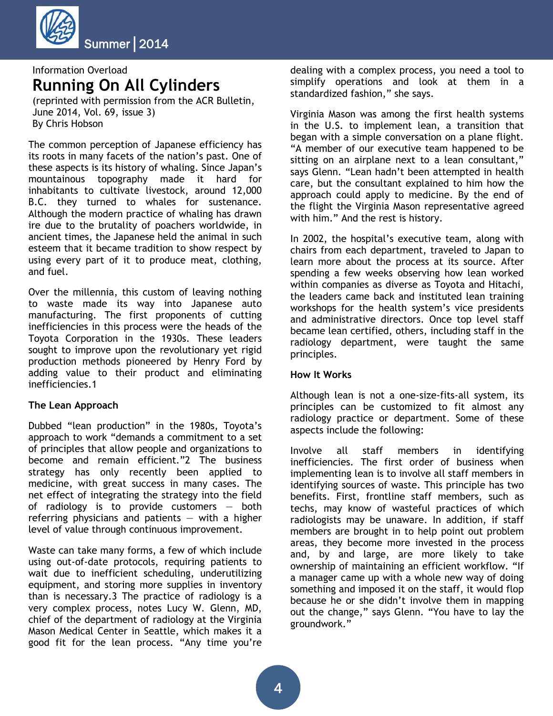

## Information Overload **Running On All Cylinders**

(reprinted with permission from the ACR Bulletin, June 2014, Vol. 69, issue 3) By Chris Hobson

The common perception of Japanese efficiency has its roots in many facets of the nation's past. One of these aspects is its history of whaling. Since Japan's mountainous topography made it hard for inhabitants to cultivate livestock, around 12,000 B.C. they turned to whales for sustenance. Although the modern practice of whaling has drawn ire due to the brutality of poachers worldwide, in ancient times, the Japanese held the animal in such esteem that it became tradition to show respect by using every part of it to produce meat, clothing, and fuel.

Over the millennia, this custom of leaving nothing to waste made its way into Japanese auto manufacturing. The first proponents of cutting inefficiencies in this process were the heads of the Toyota Corporation in the 1930s. These leaders sought to improve upon the revolutionary yet rigid production methods pioneered by Henry Ford by adding value to their product and eliminating inefficiencies.1

## **The Lean Approach**

Dubbed "lean production" in the 1980s, Toyota's approach to work "demands a commitment to a set of principles that allow people and organizations to become and remain efficient."2 The business strategy has only recently been applied to medicine, with great success in many cases. The net effect of integrating the strategy into the field of radiology is to provide customers — both referring physicians and patients  $-$  with a higher level of value through continuous improvement.

Waste can take many forms, a few of which include using out-of-date protocols, requiring patients to wait due to inefficient scheduling, underutilizing equipment, and storing more supplies in inventory than is necessary.3 The practice of radiology is a very complex process, notes Lucy W. Glenn, MD, chief of the department of radiology at the Virginia Mason Medical Center in Seattle, which makes it a good fit for the lean process. "Any time you're

dealing with a complex process, you need a tool to simplify operations and look at them in a standardized fashion," she says.

Virginia Mason was among the first health systems in the U.S. to implement lean, a transition that began with a simple conversation on a plane flight. "A member of our executive team happened to be sitting on an airplane next to a lean consultant," says Glenn. "Lean hadn't been attempted in health care, but the consultant explained to him how the approach could apply to medicine. By the end of the flight the Virginia Mason representative agreed with him." And the rest is history.

In 2002, the hospital's executive team, along with chairs from each department, traveled to Japan to learn more about the process at its source. After spending a few weeks observing how lean worked within companies as diverse as Toyota and Hitachi, the leaders came back and instituted lean training workshops for the health system's vice presidents and administrative directors. Once top level staff became lean certified, others, including staff in the radiology department, were taught the same principles.

## **How It Works**

Although lean is not a one-size-fits-all system, its principles can be customized to fit almost any radiology practice or department. Some of these aspects include the following:

Involve all staff members in identifying inefficiencies. The first order of business when implementing lean is to involve all staff members in identifying sources of waste. This principle has two benefits. First, frontline staff members, such as techs, may know of wasteful practices of which radiologists may be unaware. In addition, if staff members are brought in to help point out problem areas, they become more invested in the process and, by and large, are more likely to take ownership of maintaining an efficient workflow. "If a manager came up with a whole new way of doing something and imposed it on the staff, it would flop because he or she didn't involve them in mapping out the change," says Glenn. "You have to lay the groundwork."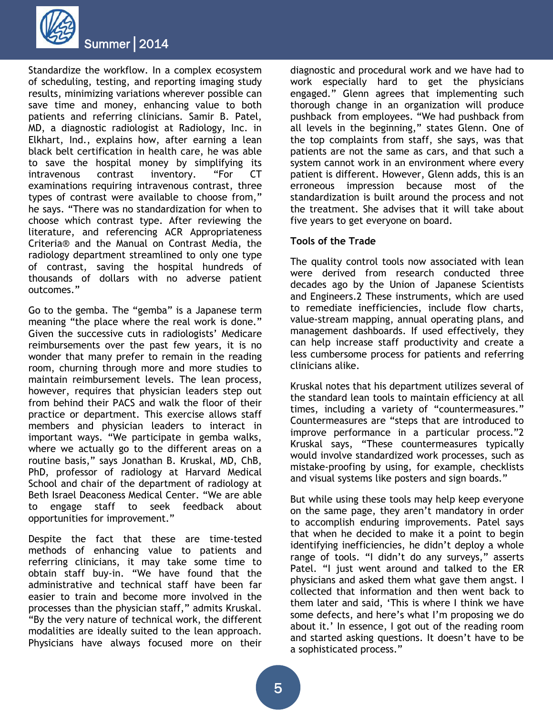

Summer│2014

Standardize the workflow. In a complex ecosystem of scheduling, testing, and reporting imaging study results, minimizing variations wherever possible can save time and money, enhancing value to both patients and referring clinicians. Samir B. Patel, MD, a diagnostic radiologist at Radiology, Inc. in Elkhart, Ind., explains how, after earning a lean black belt certification in health care, he was able to save the hospital money by simplifying its intravenous contrast inventory. "For CT examinations requiring intravenous contrast, three types of contrast were available to choose from," he says. "There was no standardization for when to choose which contrast type. After reviewing the literature, and referencing ACR Appropriateness Criteria® and the Manual on Contrast Media, the radiology department streamlined to only one type of contrast, saving the hospital hundreds of thousands of dollars with no adverse patient outcomes."

Go to the gemba. The "gemba" is a Japanese term meaning "the place where the real work is done." Given the successive cuts in radiologists' Medicare reimbursements over the past few years, it is no wonder that many prefer to remain in the reading room, churning through more and more studies to maintain reimbursement levels. The lean process, however, requires that physician leaders step out from behind their PACS and walk the floor of their practice or department. This exercise allows staff members and physician leaders to interact in important ways. "We participate in gemba walks, where we actually go to the different areas on a routine basis," says Jonathan B. Kruskal, MD, ChB, PhD, professor of radiology at Harvard Medical School and chair of the department of radiology at Beth Israel Deaconess Medical Center. "We are able to engage staff to seek feedback about opportunities for improvement."

Despite the fact that these are time-tested methods of enhancing value to patients and referring clinicians, it may take some time to obtain staff buy-in. "We have found that the administrative and technical staff have been far easier to train and become more involved in the processes than the physician staff," admits Kruskal. "By the very nature of technical work, the different modalities are ideally suited to the lean approach. Physicians have always focused more on their

diagnostic and procedural work and we have had to work especially hard to get the physicians engaged." Glenn agrees that implementing such thorough change in an organization will produce pushback from employees. "We had pushback from all levels in the beginning," states Glenn. One of the top complaints from staff, she says, was that patients are not the same as cars, and that such a system cannot work in an environment where every patient is different. However, Glenn adds, this is an erroneous impression because most of the standardization is built around the process and not the treatment. She advises that it will take about five years to get everyone on board.

#### **Tools of the Trade**

The quality control tools now associated with lean were derived from research conducted three decades ago by the Union of Japanese Scientists and Engineers.2 These instruments, which are used to remediate inefficiencies, include flow charts, value-stream mapping, annual operating plans, and management dashboards. If used effectively, they can help increase staff productivity and create a less cumbersome process for patients and referring clinicians alike.

Kruskal notes that his department utilizes several of the standard lean tools to maintain efficiency at all times, including a variety of "countermeasures." Countermeasures are "steps that are introduced to improve performance in a particular process."2 Kruskal says, "These countermeasures typically would involve standardized work processes, such as mistake-proofing by using, for example, checklists and visual systems like posters and sign boards."

But while using these tools may help keep everyone on the same page, they aren't mandatory in order to accomplish enduring improvements. Patel says that when he decided to make it a point to begin identifying inefficiencies, he didn't deploy a whole range of tools. "I didn't do any surveys," asserts Patel. "I just went around and talked to the ER physicians and asked them what gave them angst. I collected that information and then went back to them later and said, 'This is where I think we have some defects, and here's what I'm proposing we do about it.' In essence, I got out of the reading room and started asking questions. It doesn't have to be a sophisticated process."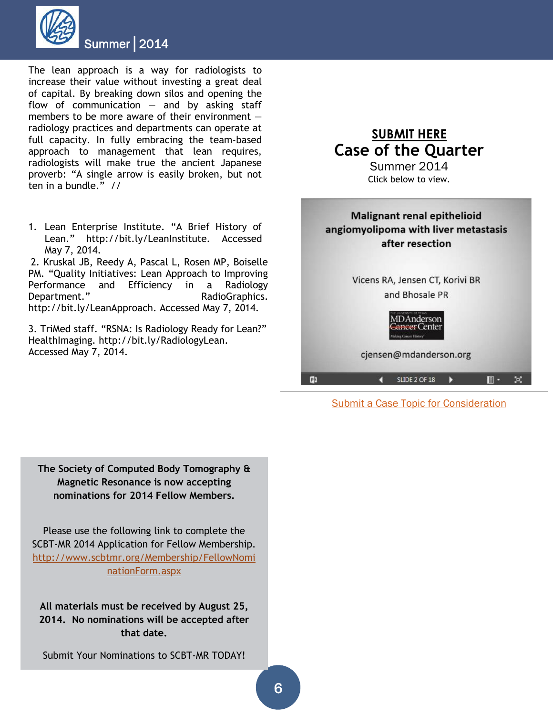

The lean approach is a way for radiologists to increase their value without investing a great deal of capital. By breaking down silos and opening the flow of communication  $-$  and by asking staff members to be more aware of their environment radiology practices and departments can operate at full capacity. In fully embracing the team-based approach to management that lean requires, radiologists will make true the ancient Japanese proverb: "A single arrow is easily broken, but not ten in a bundle."  $\frac{1}{2}$ 

1. Lean Enterprise Institute. "A Brief History of Lean." http://bit.ly/LeanInstitute. Accessed May 7, 2014.

2. Kruskal JB, Reedy A, Pascal L, Rosen MP, Boiselle PM. "Quality Initiatives: Lean Approach to Improving Performance and Efficiency in a Radiology Department." RadioGraphics. http://bit.ly/LeanApproach. Accessed May 7, 2014.

3. TriMed staff. "RSNA: Is Radiology Ready for Lean?" HealthImaging. http://bit.ly/RadiologyLean. Accessed May 7, 2014.

## **[SUBMIT HERE](http://www.scbtmr.org/Education/Protocols/SubmitaProtocol.aspx) Case of the Quarter**

<span id="page-5-0"></span>Summer 2014 Click below to view.



## [Submit a Case Topic for Consideration](http://www.scbtmr.org/Education/CaseoftheQuarter/SubmitaCaseTopicforConsideration.aspx)

**The Society of Computed Body Tomography & Magnetic Resonance is now accepting nominations for 2014 Fellow Members.**

Please use the following link to complete the SCBT-MR 2014 Application for Fellow Membership. [http://www.scbtmr.org/Membership/FellowNomi](http://www.scbtmr.org/Membership/FellowNominationForm.aspx) [nationForm.aspx](http://www.scbtmr.org/Membership/FellowNominationForm.aspx)

**All materials must be received by August 25, 2014. No nominations will be accepted after that date.**

Submit Your Nominations to SCBT-MR TODAY!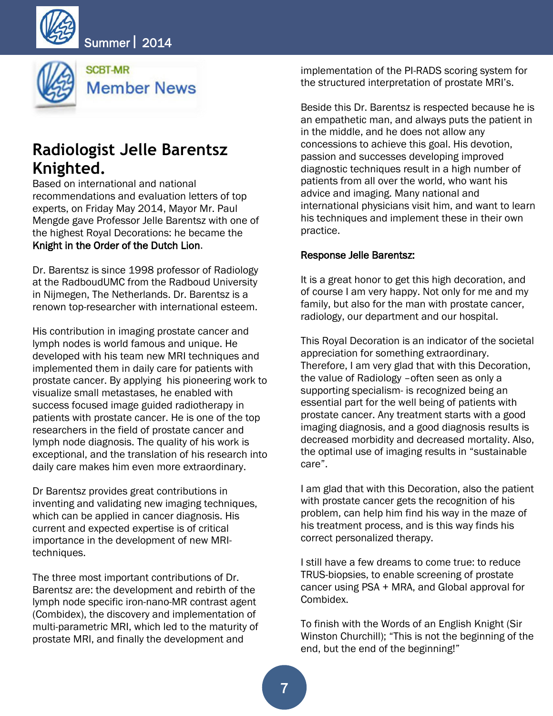

Summer│ 2014



# **Radiologist Jelle Barentsz Knighted.**

Based on international and national recommendations and evaluation letters of top experts, on Friday May 2014, Mayor Mr. Paul Mengde gave Professor Jelle Barentsz with one of the highest Royal Decorations: he became the Knight in the Order of the Dutch Lion.

Dr. Barentsz is since 1998 professor of Radiology at the RadboudUMC from the Radboud University in Nijmegen, The Netherlands. Dr. Barentsz is a renown top-researcher with international esteem.

His contribution in imaging prostate cancer and lymph nodes is world famous and unique. He developed with his team new MRI techniques and implemented them in daily care for patients with prostate cancer. By applying his pioneering work to visualize small metastases, he enabled with success focused image guided radiotherapy in patients with prostate cancer. He is one of the top researchers in the field of prostate cancer and lymph node diagnosis. The quality of his work is exceptional, and the translation of his research into daily care makes him even more extraordinary.

Dr Barentsz provides great contributions in inventing and validating new imaging techniques, which can be applied in cancer diagnosis. His current and expected expertise is of critical importance in the development of new MRItechniques.

The three most important contributions of Dr. Barentsz are: the development and rebirth of the lymph node specific iron-nano-MR contrast agent (Combidex), the discovery and implementation of multi-parametric MRI, which led to the maturity of prostate MRI, and finally the development and

implementation of the PI-RADS scoring system for the structured interpretation of prostate MRI's.

Beside this Dr. Barentsz is respected because he is an empathetic man, and always puts the patient in in the middle, and he does not allow any concessions to achieve this goal. His devotion, passion and successes developing improved diagnostic techniques result in a high number of patients from all over the world, who want his advice and imaging. Many national and international physicians visit him, and want to learn his techniques and implement these in their own practice.

## Response Jelle Barentsz:

It is a great honor to get this high decoration, and of course I am very happy. Not only for me and my family, but also for the man with prostate cancer, radiology, our department and our hospital.

This Royal Decoration is an indicator of the societal appreciation for something extraordinary. Therefore, I am very glad that with this Decoration, the value of Radiology –often seen as only a supporting specialism- is recognized being an essential part for the well being of patients with prostate cancer. Any treatment starts with a good imaging diagnosis, and a good diagnosis results is decreased morbidity and decreased mortality. Also, the optimal use of imaging results in "sustainable care".

I am glad that with this Decoration, also the patient with prostate cancer gets the recognition of his problem, can help him find his way in the maze of his treatment process, and is this way finds his correct personalized therapy.

I still have a few dreams to come true: to reduce TRUS-biopsies, to enable screening of prostate cancer using PSA + MRA, and Global approval for Combidex.

To finish with the Words of an English Knight (Sir Winston Churchill); "This is not the beginning of the end, but the end of the beginning!"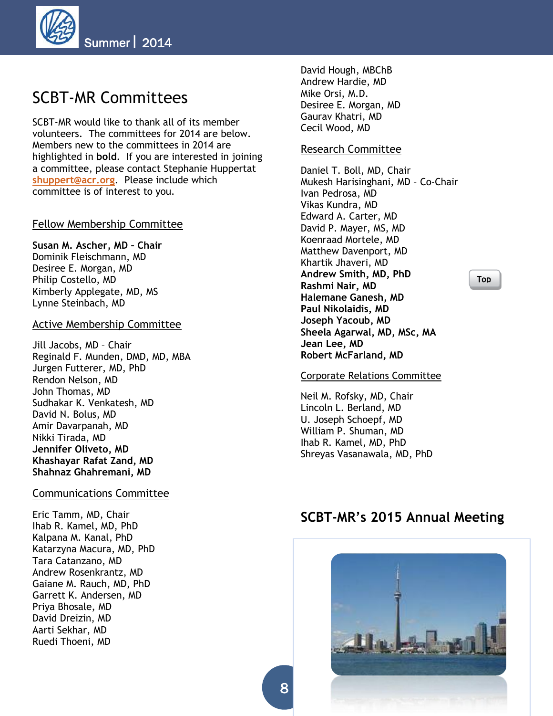

## <span id="page-7-0"></span>SCBT-MR Committees

SCBT-MR would like to thank all of its member volunteers. The committees for 2014 are below. Members new to the committees in 2014 are highlighted in **bold**. If you are interested in joining a committee, please contact Stephanie Huppertat **[shuppert@acr.org](mailto:shuppert@acr.org)**. Please include which committee is of interest to you.

#### Fellow Membership Committee

**Susan M. Ascher, MD – Chair** Dominik Fleischmann, MD Desiree E. Morgan, MD Philip Costello, MD Kimberly Applegate, MD, MS Lynne Steinbach, MD

#### Active Membership Committee

Jill Jacobs, MD – Chair Reginald F. Munden, DMD, MD, MBA Jurgen Futterer, MD, PhD Rendon Nelson, MD John Thomas, MD Sudhakar K. Venkatesh, MD David N. Bolus, MD Amir Davarpanah, MD Nikki Tirada, MD **Jennifer Oliveto, MD Khashayar Rafat Zand, MD Shahnaz Ghahremani, MD**

#### Communications Committee

Eric Tamm, MD, Chair Ihab R. Kamel, MD, PhD Kalpana M. Kanal, PhD Katarzyna Macura, MD, PhD Tara Catanzano, MD Andrew Rosenkrantz, MD Gaiane M. Rauch, MD, PhD Garrett K. Andersen, MD Priya Bhosale, MD David Dreizin, MD Aarti Sekhar, MD Ruedi Thoeni, MD

David Hough, MBChB Andrew Hardie, MD Mike Orsi, M.D. Desiree E. Morgan, MD Gaurav Khatri, MD Cecil Wood, MD

## Research Committee

Daniel T. Boll, MD, Chair Mukesh Harisinghani, MD – Co-Chair Ivan Pedrosa, MD Vikas Kundra, MD Edward A. Carter, MD David P. Mayer, MS, MD Koenraad Mortele, MD Matthew Davenport, MD Khartik Jhaveri, MD **Andrew Smith, MD, PhD Rashmi Nair, MD Halemane Ganesh, MD Paul Nikolaidis, MD Joseph Yacoub, MD Sheela Agarwal, MD, MSc, MA Jean Lee, MD Robert McFarland, MD**

[Top](#page-0-2) 

#### Corporate Relations Committee

Neil M. Rofsky, MD, Chair Lincoln L. Berland, MD U. Joseph Schoepf, MD William P. Shuman, MD Ihab R. Kamel, MD, PhD Shreyas Vasanawala, MD, PhD

## **SCBT-MR's 2015 Annual Meeting**